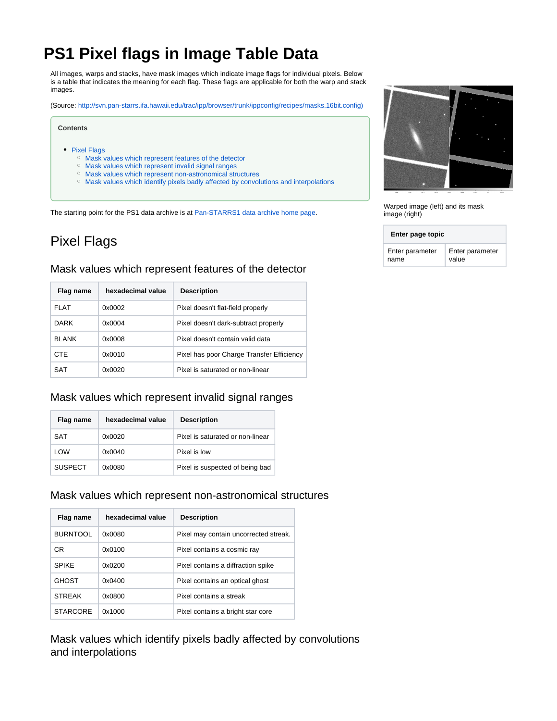# **PS1 Pixel flags in Image Table Data**

All images, warps and stacks, have mask images which indicate image flags for individual pixels. Below is a table that indicates the meaning for each flag. These flags are applicable for both the warp and stack images.

(Source: [http://svn.pan-starrs.ifa.hawaii.edu/trac/ipp/browser/trunk/ippconfig/recipes/masks.16bit.config\)](http://svn.pan-starrs.ifa.hawaii.edu/trac/ipp/browser/trunk/ippconfig/recipes/masks.16bit.config)

#### **Contents**

### • [Pixel Flags](#page-0-0)

- [Mask values which represent features of the detector](#page-0-1)
- <sup>o</sup> [Mask values which represent invalid signal ranges](#page-0-2)
- [Mask values which represent non-astronomical structures](#page-0-3)
- [Mask values which identify pixels badly affected by convolutions and interpolations](#page-0-4)

The starting point for the PS1 data archive is at [Pan-STARRS1 data archive home page.](https://outerspace.stsci.edu/display/PANSTARRS/Pan-STARRS1+data+archive+home+page)

## <span id="page-0-0"></span>Pixel Flags

### <span id="page-0-1"></span>Mask values which represent features of the detector

| Flag name     | hexadecimal value | <b>Description</b>                        |
|---------------|-------------------|-------------------------------------------|
| FI AT         | 0x0002            | Pixel doesn't flat-field properly         |
| <b>DARK</b>   | 0x0004            | Pixel doesn't dark-subtract properly      |
| <b>BI ANK</b> | 0x0008            | Pixel doesn't contain valid data          |
| <b>CTE</b>    | 0x0010            | Pixel has poor Charge Transfer Efficiency |
| SAT           | 0x0020            | Pixel is saturated or non-linear          |

### <span id="page-0-2"></span>Mask values which represent invalid signal ranges

| Flag name      | hexadecimal value | <b>Description</b>               |
|----------------|-------------------|----------------------------------|
| SAT            | 0x0020            | Pixel is saturated or non-linear |
| LOW            | 0x0040            | Pixel is low                     |
| <b>SUSPECT</b> | 0x0080            | Pixel is suspected of being bad  |

### <span id="page-0-3"></span>Mask values which represent non-astronomical structures

| Flag name       | hexadecimal value | <b>Description</b>                    |
|-----------------|-------------------|---------------------------------------|
| <b>BURNTOOL</b> | 0x0080            | Pixel may contain uncorrected streak. |
| CR              | 0x0100            | Pixel contains a cosmic ray           |
| <b>SPIKF</b>    | 0x0200            | Pixel contains a diffraction spike    |
| <b>GHOST</b>    | 0x0400            | Pixel contains an optical ghost       |
| <b>STREAK</b>   | 0x0800            | Pixel contains a streak               |
| <b>STARCORE</b> | 0x1000            | Pixel contains a bright star core     |

<span id="page-0-4"></span>Mask values which identify pixels badly affected by convolutions and interpolations



Warped image (left) and its mask image (right)

| Enter page topic |                 |  |
|------------------|-----------------|--|
| Enter parameter  | Enter parameter |  |
| name             | value           |  |